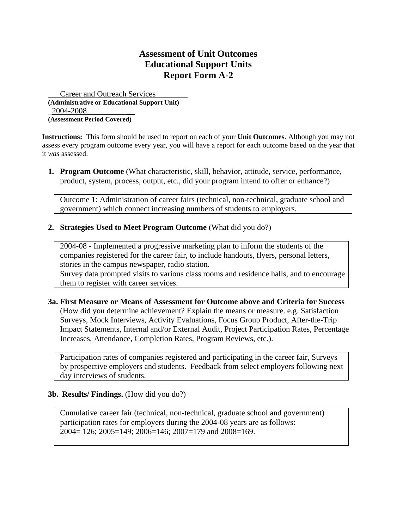Career and Outreach Services **(Administrative or Educational Support Unit)**  2004-2008 **(Assessment Period Covered)** 

**Instructions:** This form should be used to report on each of your **Unit Outcomes**. Although you may not assess every program outcome every year, you will have a report for each outcome based on the year that it *was* assessed.

**1. Program Outcome** (What characteristic, skill, behavior, attitude, service, performance, product, system, process, output, etc., did your program intend to offer or enhance?)

Outcome 1: Administration of career fairs (technical, non-technical, graduate school and government) which connect increasing numbers of students to employers.

**2. Strategies Used to Meet Program Outcome** (What did you do?)

2004-08 - Implemented a progressive marketing plan to inform the students of the companies registered for the career fair, to include handouts, flyers, personal letters, stories in the campus newspaper, radio station.

Survey data prompted visits to various class rooms and residence halls, and to encourage them to register with career services.

### **3a. First Measure or Means of Assessment for Outcome above and Criteria for Success** (How did you determine achievement? Explain the means or measure. e.g. Satisfaction Surveys, Mock Interviews, Activity Evaluations, Focus Group Product, After-the-Trip Impact Statements, Internal and/or External Audit, Project Participation Rates, Percentage Increases, Attendance, Completion Rates, Program Reviews, etc.).

Participation rates of companies registered and participating in the career fair, Surveys by prospective employers and students. Feedback from select employers following next day interviews of students.

## **3b. Results/ Findings.** (How did you do?)

Cumulative career fair (technical, non-technical, graduate school and government) participation rates for employers during the 2004-08 years are as follows: 2004= 126; 2005=149; 2006=146; 2007=179 and 2008=169.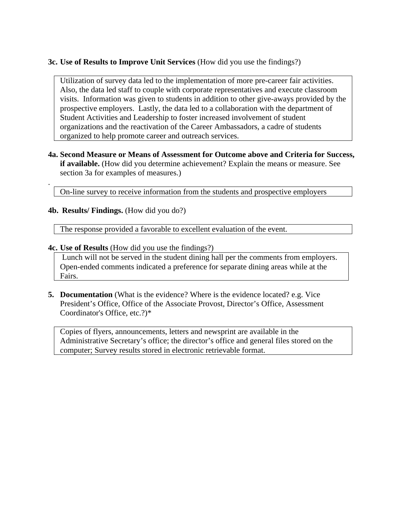## **3c. Use of Results to Improve Unit Services** (How did you use the findings?)

Utilization of survey data led to the implementation of more pre-career fair activities. Also, the data led staff to couple with corporate representatives and execute classroom visits. Information was given to students in addition to other give-aways provided by the prospective employers. Lastly, the data led to a collaboration with the department of Student Activities and Leadership to foster increased involvement of student organizations and the reactivation of the Career Ambassadors, a cadre of students organized to help promote career and outreach services.

**4a. Second Measure or Means of Assessment for Outcome above and Criteria for Success, if available.** (How did you determine achievement? Explain the means or measure. See section 3a for examples of measures.)

On-line survey to receive information from the students and prospective employers

## **4b. Results/ Findings.** (How did you do?)

.

The response provided a favorable to excellent evaluation of the event.

### **4c. Use of Results** (How did you use the findings?)

 Lunch will not be served in the student dining hall per the comments from employers. Open-ended comments indicated a preference for separate dining areas while at the Fairs.

**5. Documentation** (What is the evidence? Where is the evidence located? e.g. Vice President's Office, Office of the Associate Provost, Director's Office, Assessment Coordinator's Office, etc.?)\*

Copies of flyers, announcements, letters and newsprint are available in the Administrative Secretary's office; the director's office and general files stored on the computer; Survey results stored in electronic retrievable format.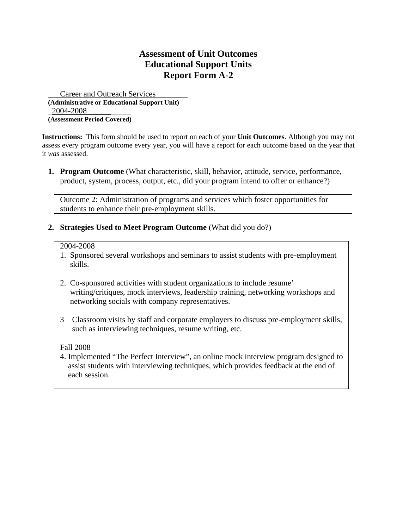Career and Outreach Services **(Administrative or Educational Support Unit)**  2004-2008 **(Assessment Period Covered)** 

**Instructions:** This form should be used to report on each of your **Unit Outcomes**. Although you may not assess every program outcome every year, you will have a report for each outcome based on the year that it *was* assessed.

**1. Program Outcome** (What characteristic, skill, behavior, attitude, service, performance, product, system, process, output, etc., did your program intend to offer or enhance?)

Outcome 2: Administration of programs and services which foster opportunities for students to enhance their pre-employment skills.

**2. Strategies Used to Meet Program Outcome** (What did you do?)

#### 2004-2008

- 1. Sponsored several workshops and seminars to assist students with pre-employment skills.
- 2. Co-sponsored activities with student organizations to include resume' writing/critiques, mock interviews, leadership training, networking workshops and networking socials with company representatives.
- 3 Classroom visits by staff and corporate employers to discuss pre-employment skills, such as interviewing techniques, resume writing, etc.

Fall 2008

4. Implemented "The Perfect Interview", an online mock interview program designed to assist students with interviewing techniques, which provides feedback at the end of each session.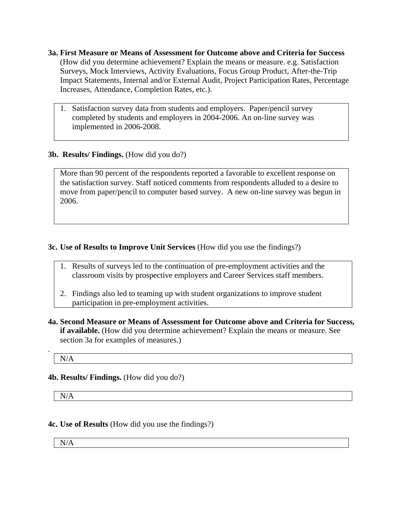- **3a. First Measure or Means of Assessment for Outcome above and Criteria for Success** (How did you determine achievement? Explain the means or measure. e.g. Satisfaction Surveys, Mock Interviews, Activity Evaluations, Focus Group Product, After-the-Trip Impact Statements, Internal and/or External Audit, Project Participation Rates, Percentage Increases, Attendance, Completion Rates, etc.).
	- 1. Satisfaction survey data from students and employers. Paper/pencil survey completed by students and employers in 2004-2006. An on-line survey was implemented in 2006-2008.

## **3b. Results/ Findings.** (How did you do?)

More than 90 percent of the respondents reported a favorable to excellent response on the satisfaction survey. Staff noticed comments from respondents alluded to a desire to move from paper/pencil to computer based survey. A new on-line survey was begun in 2006.

## **3c. Use of Results to Improve Unit Services** (How did you use the findings?)

- 1. Results of surveys led to the continuation of pre-employment activities and the classroom visits by prospective employers and Career Services staff members.
- 2. Findings also led to teaming up with student organizations to improve student participation in pre-employment activities.
- **4a. Second Measure or Means of Assessment for Outcome above and Criteria for Success, if available.** (How did you determine achievement? Explain the means or measure. See section 3a for examples of measures.)

N/A

.

## **4b. Results/ Findings.** (How did you do?)

N/A

## **4c. Use of Results** (How did you use the findings?)

N/A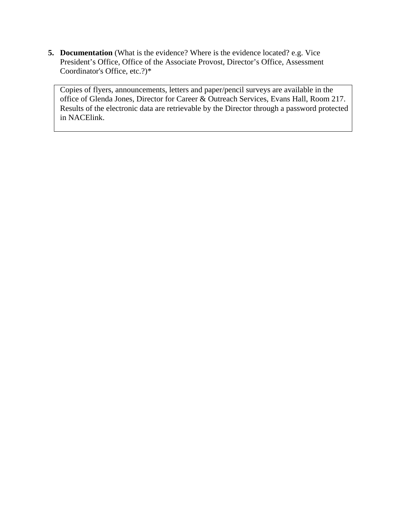**5. Documentation** (What is the evidence? Where is the evidence located? e.g. Vice President's Office, Office of the Associate Provost, Director's Office, Assessment Coordinator's Office, etc.?)\*

Copies of flyers, announcements, letters and paper/pencil surveys are available in the office of Glenda Jones, Director for Career & Outreach Services, Evans Hall, Room 217. Results of the electronic data are retrievable by the Director through a password protected in NACElink.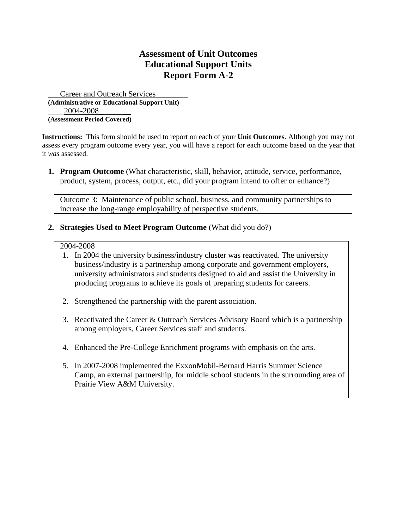Career and Outreach Services **(Administrative or Educational Support Unit)**  2004-2008 **(Assessment Period Covered)** 

**Instructions:** This form should be used to report on each of your **Unit Outcomes**. Although you may not assess every program outcome every year, you will have a report for each outcome based on the year that it *was* assessed.

**1. Program Outcome** (What characteristic, skill, behavior, attitude, service, performance, product, system, process, output, etc., did your program intend to offer or enhance?)

Outcome 3: Maintenance of public school, business, and community partnerships to increase the long-range employability of perspective students.

**2. Strategies Used to Meet Program Outcome** (What did you do?)

#### 2004-2008

- 1. In 2004 the university business/industry cluster was reactivated. The university business/industry is a partnership among corporate and government employers, university administrators and students designed to aid and assist the University in producing programs to achieve its goals of preparing students for careers.
- 2. Strengthened the partnership with the parent association.
- 3. Reactivated the Career & Outreach Services Advisory Board which is a partnership among employers, Career Services staff and students.
- 4. Enhanced the Pre-College Enrichment programs with emphasis on the arts.
- 5. In 2007-2008 implemented the ExxonMobil-Bernard Harris Summer Science Camp, an external partnership, for middle school students in the surrounding area of Prairie View A&M University.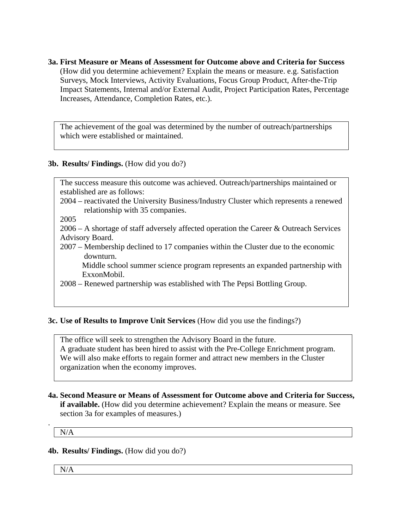**3a. First Measure or Means of Assessment for Outcome above and Criteria for Success** (How did you determine achievement? Explain the means or measure. e.g. Satisfaction Surveys, Mock Interviews, Activity Evaluations, Focus Group Product, After-the-Trip Impact Statements, Internal and/or External Audit, Project Participation Rates, Percentage Increases, Attendance, Completion Rates, etc.).

The achievement of the goal was determined by the number of outreach/partnerships which were established or maintained.

## **3b. Results/ Findings.** (How did you do?)

The success measure this outcome was achieved. Outreach/partnerships maintained or established are as follows:

2004 – reactivated the University Business/Industry Cluster which represents a renewed relationship with 35 companies.

2005

2006 – A shortage of staff adversely affected operation the Career & Outreach Services Advisory Board.

2007 – Membership declined to 17 companies within the Cluster due to the economic downturn.

 Middle school summer science program represents an expanded partnership with ExxonMobil.

2008 – Renewed partnership was established with The Pepsi Bottling Group.

### **3c. Use of Results to Improve Unit Services** (How did you use the findings?)

The office will seek to strengthen the Advisory Board in the future. A graduate student has been hired to assist with the Pre-College Enrichment program. We will also make efforts to regain former and attract new members in the Cluster organization when the economy improves.

**4a. Second Measure or Means of Assessment for Outcome above and Criteria for Success, if available.** (How did you determine achievement? Explain the means or measure. See section 3a for examples of measures.)

N/A

.

#### **4b. Results/ Findings.** (How did you do?)

N/A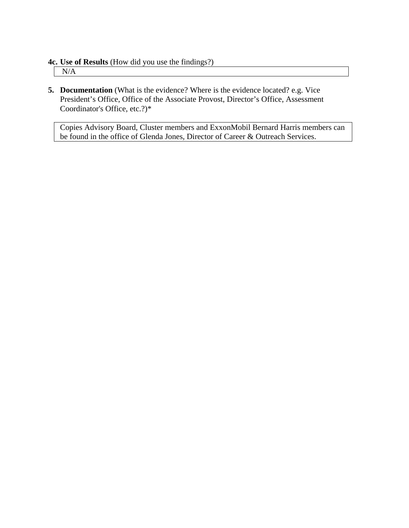**4c. Use of Results** (How did you use the findings?)

N/A

**5. Documentation** (What is the evidence? Where is the evidence located? e.g. Vice President's Office, Office of the Associate Provost, Director's Office, Assessment Coordinator's Office, etc.?)\*

Copies Advisory Board, Cluster members and ExxonMobil Bernard Harris members can be found in the office of Glenda Jones, Director of Career & Outreach Services.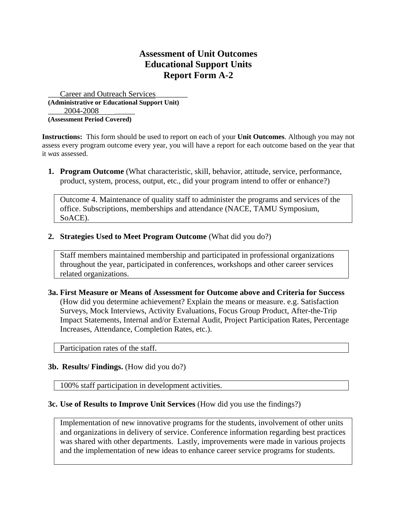Career and Outreach Services **(Administrative or Educational Support Unit)**  2004-2008 **(Assessment Period Covered)** 

**Instructions:** This form should be used to report on each of your **Unit Outcomes**. Although you may not assess every program outcome every year, you will have a report for each outcome based on the year that it *was* assessed.

**1. Program Outcome** (What characteristic, skill, behavior, attitude, service, performance, product, system, process, output, etc., did your program intend to offer or enhance?)

Outcome 4. Maintenance of quality staff to administer the programs and services of the office. Subscriptions, memberships and attendance (NACE, TAMU Symposium, SoACE).

**2. Strategies Used to Meet Program Outcome** (What did you do?)

Staff members maintained membership and participated in professional organizations throughout the year, participated in conferences, workshops and other career services related organizations.

**3a. First Measure or Means of Assessment for Outcome above and Criteria for Success** (How did you determine achievement? Explain the means or measure. e.g. Satisfaction Surveys, Mock Interviews, Activity Evaluations, Focus Group Product, After-the-Trip Impact Statements, Internal and/or External Audit, Project Participation Rates, Percentage Increases, Attendance, Completion Rates, etc.).

Participation rates of the staff.

## **3b. Results/ Findings.** (How did you do?)

100% staff participation in development activities.

### **3c. Use of Results to Improve Unit Services** (How did you use the findings?)

Implementation of new innovative programs for the students, involvement of other units and organizations in delivery of service. Conference information regarding best practices was shared with other departments. Lastly, improvements were made in various projects and the implementation of new ideas to enhance career service programs for students.